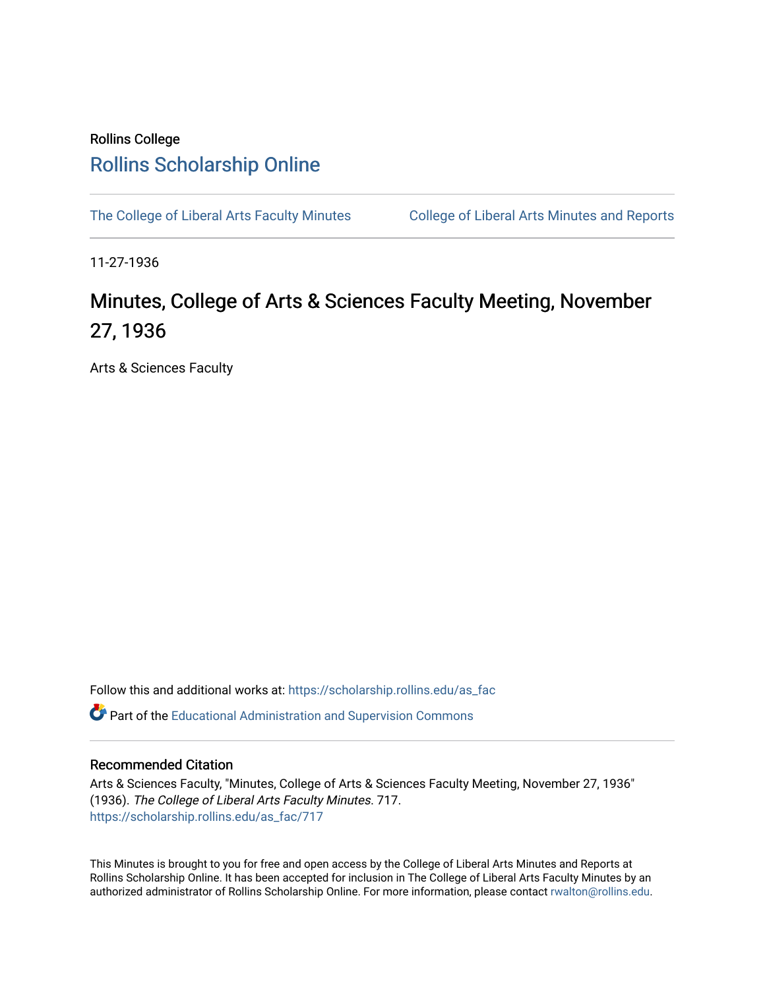# Rollins College [Rollins Scholarship Online](https://scholarship.rollins.edu/)

[The College of Liberal Arts Faculty Minutes](https://scholarship.rollins.edu/as_fac) College of Liberal Arts Minutes and Reports

11-27-1936

# Minutes, College of Arts & Sciences Faculty Meeting, November 27, 1936

Arts & Sciences Faculty

Follow this and additional works at: [https://scholarship.rollins.edu/as\\_fac](https://scholarship.rollins.edu/as_fac?utm_source=scholarship.rollins.edu%2Fas_fac%2F717&utm_medium=PDF&utm_campaign=PDFCoverPages) 

**P** Part of the [Educational Administration and Supervision Commons](http://network.bepress.com/hgg/discipline/787?utm_source=scholarship.rollins.edu%2Fas_fac%2F717&utm_medium=PDF&utm_campaign=PDFCoverPages)

## Recommended Citation

Arts & Sciences Faculty, "Minutes, College of Arts & Sciences Faculty Meeting, November 27, 1936" (1936). The College of Liberal Arts Faculty Minutes. 717. [https://scholarship.rollins.edu/as\\_fac/717](https://scholarship.rollins.edu/as_fac/717?utm_source=scholarship.rollins.edu%2Fas_fac%2F717&utm_medium=PDF&utm_campaign=PDFCoverPages) 

This Minutes is brought to you for free and open access by the College of Liberal Arts Minutes and Reports at Rollins Scholarship Online. It has been accepted for inclusion in The College of Liberal Arts Faculty Minutes by an authorized administrator of Rollins Scholarship Online. For more information, please contact [rwalton@rollins.edu](mailto:rwalton@rollins.edu).